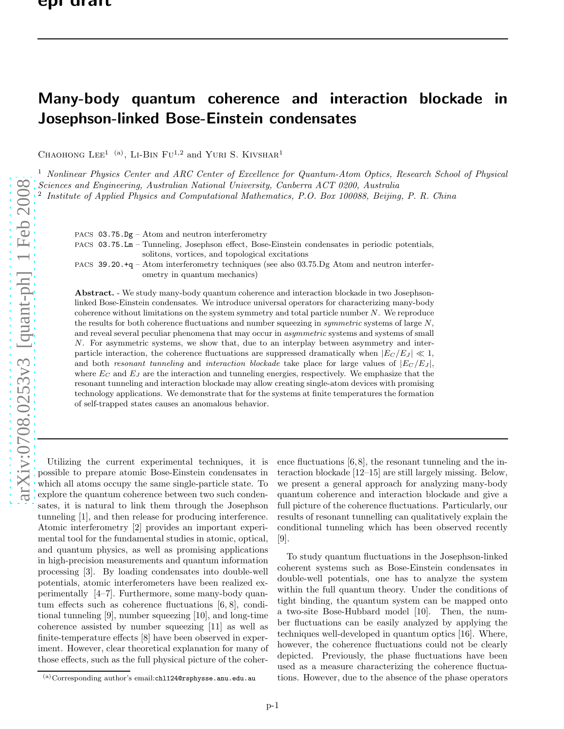## Many-body quantum coherence and interaction blockade in Josephson-linked Bose-Einstein condensates

CHAOHONG LEE<sup>1 (a)</sup>, LI-BIN FU<sup>1,2</sup> and YURI S. KIVSHAR<sup>1</sup>

<sup>1</sup> Nonlinear Physics Center and ARC Center of Excellence for Quantum-Atom Optics, Research School of Physical Sciences and Engineering, Australian National University, Canberra ACT 0200, Australia

2 Institute of Applied Physics and Computational Mathematics, P.O. Box 100088, Beijing, P. R. China

PACS 03.75.Dg – Atom and neutron interferometry

PACS 03.75.Lm – Tunneling, Josephson effect, Bose-Einstein condensates in periodic potentials, solitons, vortices, and topological excitations

PACS 39.20.+q – Atom interferometry techniques (see also 03.75.Dg Atom and neutron interferometry in quantum mechanics)

Abstract. - We study many-body quantum coherence and interaction blockade in two Josephsonlinked Bose-Einstein condensates. We introduce universal operators for characterizing many-body coherence without limitations on the system symmetry and total particle number  $N$ . We reproduce the results for both coherence fluctuations and number squeezing in *symmetric* systems of large  $N$ , and reveal several peculiar phenomena that may occur in *asymmetric* systems and systems of small N. For asymmetric systems, we show that, due to an interplay between asymmetry and interparticle interaction, the coherence fluctuations are suppressed dramatically when  $|E_C/E_J| \ll 1$ , and both *resonant tunneling* and *interaction blockade* take place for large values of  $|E_C/E_J|$ , where  $E_C$  and  $E_J$  are the interaction and tunneling energies, respectively. We emphasize that the resonant tunneling and interaction blockade may allow creating single-atom devices with promising technology applications. We demonstrate that for the systems at finite temperatures the formation of self-trapped states causes an anomalous behavior.

Utilizing the current experimental techniques, it is possible to prepare atomic Bose-Einstein condensates in which all atoms occupy the same single-particle state. To explore the quantum coherence between two such condensates, it is natural to link them through the Josephson tunneling [1], and then release for producing interference. Atomic interferometry [2] provides an important experimental tool for the fundamental studies in atomic, optical, and quantum physics, as well as promising applications in high-precision measurements and quantum information processing [3]. By loading condensates into double-well potentials, atomic interferometers have been realized experimentally [4–7]. Furthermore, some many-body quantum effects such as coherence fluctuations [6, 8], conditional tunneling [9], number squeezing [10], and long-time coherence assisted by number squeezing [11] as well as finite-temperature effects [8] have been observed in experiment. However, clear theoretical explanation for many of those effects, such as the full physical picture of the coherence fluctuations [6, 8], the resonant tunneling and the interaction blockade [12–15] are still largely missing. Below, we present a general approach for analyzing many-body quantum coherence and interaction blockade and give a full picture of the coherence fluctuations. Particularly, our results of resonant tunnelling can qualitatively explain the conditional tunneling which has been observed recently [9].

To study quantum fluctuations in the Josephson-linked coherent systems such as Bose-Einstein condensates in double-well potentials, one has to analyze the system within the full quantum theory. Under the conditions of tight binding, the quantum system can be mapped onto a two-site Bose-Hubbard model [10]. Then, the number fluctuations can be easily analyzed by applying the techniques well-developed in quantum optics [16]. Where, however, the coherence fluctuations could not be clearly depicted. Previously, the phase fluctuations have been used as a measure characterizing the coherence fluctuations. However, due to the absence of the phase operators

 $(a)$ Corresponding author's email:chl124@rsphysse.anu.edu.au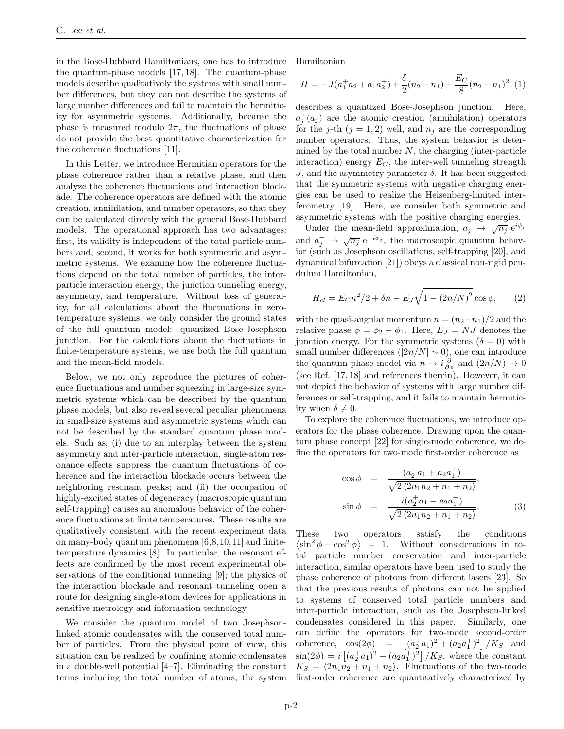in the Bose-Hubbard Hamiltonians, one has to introduce the quantum-phase models [17, 18]. The quantum-phase models describe qualitatively the systems with small number differences, but they can not describe the systems of large number differences and fail to maintain the hermiticity for asymmetric systems. Additionally, because the phase is measured modulo  $2\pi$ , the fluctuations of phase do not provide the best quantitative characterization for the coherence fluctuations [11].

In this Letter, we introduce Hermitian operators for the phase coherence rather than a relative phase, and then analyze the coherence fluctuations and interaction blockade. The coherence operators are defined with the atomic creation, annihilation, and number operators, so that they can be calculated directly with the general Bose-Hubbard models. The operational approach has two advantages: first, its validity is independent of the total particle numbers and, second, it works for both symmetric and asymmetric systems. We examine how the coherence fluctuations depend on the total number of particles, the interparticle interaction energy, the junction tunneling energy, asymmetry, and temperature. Without loss of generality, for all calculations about the fluctuations in zerotemperature systems, we only consider the ground states of the full quantum model: quantized Bose-Josephson junction. For the calculations about the fluctuations in finite-temperature systems, we use both the full quantum and the mean-field models.

Below, we not only reproduce the pictures of coherence fluctuations and number squeezing in large-size symmetric systems which can be described by the quantum phase models, but also reveal several peculiar phenomena in small-size systems and asymmetric systems which can not be described by the standard quantum phase models. Such as, (i) due to an interplay between the system asymmetry and inter-particle interaction, single-atom resonance effects suppress the quantum fluctuations of coherence and the interaction blockade occurs between the neighboring resonant peaks; and (ii) the occupation of highly-excited states of degeneracy (macroscopic quantum self-trapping) causes an anomalous behavior of the coherence fluctuations at finite temperatures. These results are qualitatively consistent with the recent experiment data on many-body quantum phenomena  $[6,8,10,11]$  and finitetemperature dynamics [8]. In particular, the resonant effects are confirmed by the most recent experimental observations of the conditional tunneling [9]; the physics of the interaction blockade and resonant tunneling open a route for designing single-atom devices for applications in sensitive metrology and information technology.

We consider the quantum model of two Josephsonlinked atomic condensates with the conserved total number of particles. From the physical point of view, this situation can be realized by confining atomic condensates in a double-well potential [4–7]. Eliminating the constant terms including the total number of atoms, the system Hamiltonian

$$
H = -J(a_1^+a_2 + a_1a_2^+) + \frac{\delta}{2}(n_2 - n_1) + \frac{E_C}{8}(n_2 - n_1)^2
$$
 (1)

describes a quantized Bose-Josephson junction. Here,  $a_j^+(a_j)$  are the atomic creation (annihilation) operators for the j-th  $(j = 1, 2)$  well, and  $n_j$  are the corresponding number operators. Thus, the system behavior is determined by the total number  $N$ , the charging (inter-particle interaction) energy  $E_C$ , the inter-well tunneling strength  $J$ , and the asymmetry parameter  $\delta$ . It has been suggested that the symmetric systems with negative charging energies can be used to realize the Heisenberg-limited interferometry [19]. Here, we consider both symmetric and asymmetric systems with the positive charging energies.

Under the mean-field approximation,  $a_j \rightarrow \sqrt{n_j} e^{i\phi_j}$ and  $a_j^+ \to \sqrt{n_j} e^{-i\phi_j}$ , the macroscopic quantum behavior (such as Josephson oscillations, self-trapping [20], and dynamical bifurcation [21]) obeys a classical non-rigid pendulum Hamiltonian,

<span id="page-1-0"></span>
$$
H_{cl} = E_C n^2 / 2 + \delta n - E_J \sqrt{1 - (2n/N)^2} \cos \phi, \qquad (2)
$$

with the quasi-angular momentum  $n = (n_2 - n_1)/2$  and the relative phase  $\phi = \phi_2 - \phi_1$ . Here,  $E_J = NJ$  denotes the junction energy. For the symmetric systems  $(\delta = 0)$  with small number differences  $(|2n/N| \sim 0)$ , one can introduce the quantum phase model via  $n \to i\frac{\partial}{\partial \phi}$  and  $(2n/N) \to 0$ (see Ref. [17, 18] and references therein). However, it can not depict the behavior of systems with large number differences or self-trapping, and it fails to maintain hermiticity when  $\delta \neq 0$ .

To explore the coherence fluctuations, we introduce operators for the phase coherence. Drawing upon the quantum phase concept [22] for single-mode coherence, we define the operators for two-mode first-order coherence as

$$
\cos \phi = \frac{(a_2^+ a_1 + a_2 a_1^+)}{\sqrt{2 (2n_1 n_2 + n_1 + n_2)}},
$$
  
\n
$$
\sin \phi = \frac{i(a_2^+ a_1 - a_2 a_1^+)}{\sqrt{2 (2n_1 n_2 + n_1 + n_2)}}.
$$
\n(3)

These two operators satisfy the conditions  $\langle \sin^2 \phi + \cos^2 \phi \rangle = 1$ . Without considerations in total particle number conservation and inter-particle interaction, similar operators have been used to study the phase coherence of photons from different lasers [23]. So that the previous results of photons can not be applied to systems of conserved total particle numbers and inter-particle interaction, such as the Josephson-linked condensates considered in this paper. Similarly, one can define the operators for two-mode second-order coherence,  $\cos(2\phi) = \left[ (a_2^{\dagger} a_1)^2 + (a_2 a_1^{\dagger})^2 \right] / K_S$  and  $\sin(2\phi) = i \left[ (a_2^{\dagger} a_1)^2 - (a_2 a_1^{\dagger})^2 \right] / K_S$ , where the constant  $K_S = \langle 2n_1n_2 + n_1 + n_2 \rangle$ . Fluctuations of the two-mode first-order coherence are quantitatively characterized by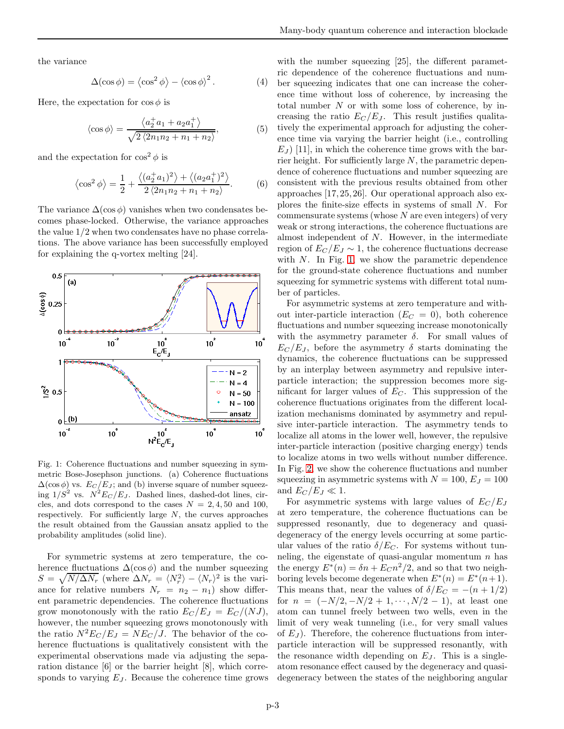the variance

$$
\Delta(\cos \phi) = \langle \cos^2 \phi \rangle - \langle \cos \phi \rangle^2. \tag{4}
$$

Here, the expectation for  $\cos \phi$  is

$$
\langle \cos \phi \rangle = \frac{\langle a_2^{\dagger} a_1 + a_2 a_1^{\dagger} \rangle}{\sqrt{2 \langle 2n_1 n_2 + n_1 + n_2 \rangle}},\tag{5}
$$

and the expectation for  $\cos^2 \phi$  is

$$
\langle \cos^2 \phi \rangle = \frac{1}{2} + \frac{\langle (a_2^{\dagger} a_1)^2 \rangle + \langle (a_2 a_1^{\dagger})^2 \rangle}{2 \langle 2n_1 n_2 + n_1 + n_2 \rangle}.
$$
 (6)

The variance  $\Delta(\cos \phi)$  vanishes when two condensates becomes phase-locked. Otherwise, the variance approaches the value 1/2 when two condensates have no phase correlations. The above variance has been successfully employed for explaining the q-vortex melting [24].



<span id="page-2-0"></span>Fig. 1: Coherence fluctuations and number squeezing in symmetric Bose-Josephson junctions. (a) Coherence fluctuations  $\Delta(\cos \phi)$  vs.  $E_C/E_J$ ; and (b) inverse square of number squeezing  $1/S^2$  vs.  $N^2E_C/E_J$ . Dashed lines, dashed-dot lines, circles, and dots correspond to the cases  $N = 2, 4, 50$  and 100, respectively. For sufficiently large  $N$ , the curves approaches the result obtained from the Gaussian ansatz applied to the probability amplitudes (solid line).

For symmetric systems at zero temperature, the coherence fluctuations  $\Delta(\cos \phi)$  and the number squeezing  $S = \sqrt{N/\Delta N_r}$  (where  $\Delta N_r = \langle N_r^2 \rangle - \langle N_r \rangle^2$  is the variance for relative numbers  $N_r = n_2 - n_1$ ) show different parametric dependencies. The coherence fluctuations grow monotonously with the ratio  $E_C/E_J = E_C/(NJ)$ , however, the number squeezing grows monotonously with the ratio  $N^2E_C/E_J = NE_C/J$ . The behavior of the coherence fluctuations is qualitatively consistent with the experimental observations made via adjusting the separation distance [6] or the barrier height [8], which corresponds to varying  $E_J$ . Because the coherence time grows with the number squeezing [25], the different parametric dependence of the coherence fluctuations and number squeezing indicates that one can increase the coherence time without loss of coherence, by increasing the total number  $N$  or with some loss of coherence, by increasing the ratio  $E_C/E_J$ . This result justifies qualitatively the experimental approach for adjusting the coherence time via varying the barrier height (i.e., controlling  $E_J$  [11], in which the coherence time grows with the barrier height. For sufficiently large  $N$ , the parametric dependence of coherence fluctuations and number squeezing are consistent with the previous results obtained from other approaches [17, 25, 26]. Our operational approach also explores the finite-size effects in systems of small N. For commensurate systems (whose  $N$  are even integers) of very weak or strong interactions, the coherence fluctuations are almost independent of N. However, in the intermediate region of  $E_C/E_J \sim 1$ , the coherence fluctuations decrease with  $N$ . In Fig. [1,](#page-2-0) we show the parametric dependence for the ground-state coherence fluctuations and number squeezing for symmetric systems with different total number of particles.

For asymmetric systems at zero temperature and without inter-particle interaction  $(E_C = 0)$ , both coherence fluctuations and number squeezing increase monotonically with the asymmetry parameter  $\delta$ . For small values of  $E_C/E_J$ , before the asymmetry  $\delta$  starts dominating the dynamics, the coherence fluctuations can be suppressed by an interplay between asymmetry and repulsive interparticle interaction; the suppression becomes more significant for larger values of  $E<sub>C</sub>$ . This suppression of the coherence fluctuations originates from the different localization mechanisms dominated by asymmetry and repulsive inter-particle interaction. The asymmetry tends to localize all atoms in the lower well, however, the repulsive inter-particle interaction (positive charging energy) tends to localize atoms in two wells without number difference. In Fig. [2,](#page-3-0) we show the coherence fluctuations and number squeezing in asymmetric systems with  $N = 100$ ,  $E_J = 100$ and  $E_C/E_J \ll 1$ .

For asymmetric systems with large values of  $E_C/E_J$ at zero temperature, the coherence fluctuations can be suppressed resonantly, due to degeneracy and quasidegeneracy of the energy levels occurring at some particular values of the ratio  $\delta/E_C$ . For systems without tunneling, the eigenstate of quasi-angular momentum  $n$  has the energy  $E^*(n) = \delta n + E_C n^2/2$ , and so that two neighboring levels become degenerate when  $E^*(n) = E^*(n+1)$ . This means that, near the values of  $\delta/E_C = -(n + 1/2)$ for  $n = (-N/2, -N/2 + 1, \dots, N/2 - 1)$ , at least one atom can tunnel freely between two wells, even in the limit of very weak tunneling (i.e., for very small values of  $E_J$ ). Therefore, the coherence fluctuations from interparticle interaction will be suppressed resonantly, with the resonance width depending on  $E_J$ . This is a singleatom resonance effect caused by the degeneracy and quasidegeneracy between the states of the neighboring angular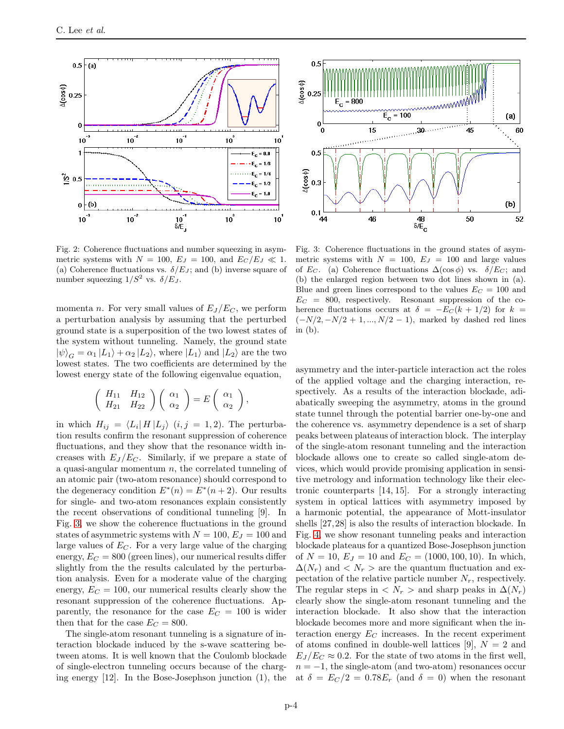

<span id="page-3-0"></span>Fig. 2: Coherence fluctuations and number squeezing in asymmetric systems with  $N = 100$ ,  $E_J = 100$ , and  $E_C/E_J \ll 1$ . (a) Coherence fluctuations vs.  $\delta/E_J$ ; and (b) inverse square of number squeezing  $1/S^2$  vs.  $\delta/E_J$ .

momenta *n*. For very small values of  $E_J/E_C$ , we perform a perturbation analysis by assuming that the perturbed ground state is a superposition of the two lowest states of the system without tunneling. Namely, the ground state  $|\psi\rangle_G = \alpha_1 |L_1\rangle + \alpha_2 |L_2\rangle$ , where  $|L_1\rangle$  and  $|L_2\rangle$  are the two lowest states. The two coefficients are determined by the lowest energy state of the following eigenvalue equation,

$$
\left(\begin{array}{cc} H_{11} & H_{12} \\ H_{21} & H_{22} \end{array}\right)\left(\begin{array}{c} \alpha_1 \\ \alpha_2 \end{array}\right)=E\left(\begin{array}{c} \alpha_1 \\ \alpha_2 \end{array}\right),\,
$$

in which  $H_{ij} = \langle L_i | H | L_j \rangle$   $(i, j = 1, 2)$ . The perturbation results confirm the resonant suppression of coherence fluctuations, and they show that the resonance width increases with  $E_J/E_C$ . Similarly, if we prepare a state of a quasi-angular momentum  $n$ , the correlated tunneling of an atomic pair (two-atom resonance) should correspond to the degeneracy condition  $E^*(n) = E^*(n+2)$ . Our results for single- and two-atom resonances explain consistently the recent observations of conditional tunneling [9]. In Fig. [3,](#page-3-1) we show the coherence fluctuations in the ground states of asymmetric systems with  $N = 100$ ,  $E_J = 100$  and large values of  $E<sub>C</sub>$ . For a very large value of the charging energy,  $E_C = 800$  (green lines), our numerical results differ slightly from the the results calculated by the perturbation analysis. Even for a moderate value of the charging energy,  $E_C = 100$ , our numerical results clearly show the resonant suppression of the coherence fluctuations. Apparently, the resonance for the case  $E_C = 100$  is wider then that for the case  $E_C = 800$ .

The single-atom resonant tunneling is a signature of interaction blockade induced by the s-wave scattering between atoms. It is well known that the Coulomb blockade of single-electron tunneling occurs because of the charging energy [12]. In the Bose-Josephson junction (1), the



<span id="page-3-1"></span>Fig. 3: Coherence fluctuations in the ground states of asymmetric systems with  $N = 100$ ,  $E_J = 100$  and large values of  $E_C$ . (a) Coherence fluctuations  $\Delta(\cos \phi)$  vs.  $\delta/E_C$ ; and (b) the enlarged region between two dot lines shown in (a). Blue and green lines correspond to the values  $E_C = 100$  and  $E_C = 800$ , respectively. Resonant suppression of the coherence fluctuations occurs at  $\delta = -E_C(k + 1/2)$  for  $k =$  $(-N/2, -N/2 + 1, ..., N/2 - 1)$ , marked by dashed red lines in (b).

asymmetry and the inter-particle interaction act the roles of the applied voltage and the charging interaction, respectively. As a results of the interaction blockade, adiabatically sweeping the asymmetry, atoms in the ground state tunnel through the potential barrier one-by-one and the coherence vs. asymmetry dependence is a set of sharp peaks between plateaus of interaction block. The interplay of the single-atom resonant tunneling and the interaction blockade allows one to create so called single-atom devices, which would provide promising application in sensitive metrology and information technology like their electronic counterparts [14, 15]. For a strongly interacting system in optical lattices with asymmetry imposed by a harmonic potential, the appearance of Mott-insulator shells [27,28] is also the results of interaction blockade. In Fig. [4,](#page-4-0) we show resonant tunneling peaks and interaction blockade plateaus for a quantized Bose-Josephson junction of  $N = 10$ ,  $E_J = 10$  and  $E_C = (1000, 100, 10)$ . In which,  $\Delta(N_r)$  and  $\langle N_r \rangle$  are the quantum fluctuation and expectation of the relative particle number  $N_r$ , respectively. The regular steps in  $\langle N_r \rangle$  and sharp peaks in  $\Delta(N_r)$ clearly show the single-atom resonant tunneling and the interaction blockade. It also show that the interaction blockade becomes more and more significant when the interaction energy  $E_C$  increases. In the recent experiment of atoms confined in double-well lattices [9],  $N = 2$  and  $E_I/E_C \approx 0.2$ . For the state of two atoms in the first well,  $n = -1$ , the single-atom (and two-atom) resonances occur at  $\delta = E_C/2 = 0.78E_r$  (and  $\delta = 0$ ) when the resonant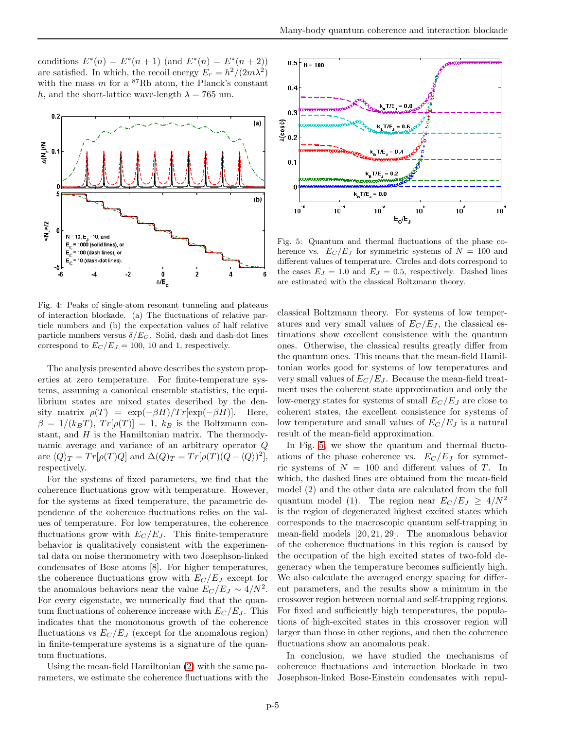conditions  $E^*(n) = E^*(n+1)$  (and  $E^*(n) = E^*(n+2)$ ) are satisfied. In which, the recoil energy  $E_r = h^2/(2m\lambda^2)$ with the mass  $m$  for a  ${}^{87}$ Rb atom, the Planck's constant h, and the short-lattice wave-length  $\lambda = 765$  nm.



<span id="page-4-0"></span>Fig. 4: Peaks of single-atom resonant tunneling and plateaus of interaction blockade. (a) The fluctuations of relative particle numbers and (b) the expectation values of half relative particle numbers versus  $\delta/E_C$ . Solid, dash and dash-dot lines correspond to  $E_C/E_J = 100$ , 10 and 1, respectively.

The analysis presented above describes the system properties at zero temperature. For finite-temperature systems, assuming a canonical ensemble statistics, the equilibrium states are mixed states described by the density matrix  $\rho(T) = \exp(-\beta H)/Tr[\exp(-\beta H)].$  Here,  $\beta = 1/(k_B T)$ ,  $Tr[\rho(T)] = 1$ ,  $k_B$  is the Boltzmann constant, and  $H$  is the Hamiltonian matrix. The thermodynamic average and variance of an arbitrary operator Q are  $\langle Q \rangle_T = Tr[\rho(T)Q]$  and  $\Delta(Q)_T = Tr[\rho(T)(Q - \langle Q \rangle)^2]$ , respectively.

For the systems of fixed parameters, we find that the coherence fluctuations grow with temperature. However, for the systems at fixed temperature, the parametric dependence of the coherence fluctuations relies on the values of temperature. For low temperatures, the coherence fluctuations grow with  $E_C/E_J$ . This finite-temperature behavior is qualitatively consistent with the experimental data on noise thermometry with two Josephson-linked condensates of Bose atoms [8]. For higher temperatures, the coherence fluctuations grow with  $E_C/E_J$  except for the anomalous behaviors near the value  $E_C/E_J \sim 4/N^2$ . For every eigenstate, we numerically find that the quantum fluctuations of coherence increase with  $E_C/E_J$ . This indicates that the monotonous growth of the coherence fluctuations vs  $E_C/E_J$  (except for the anomalous region) in finite-temperature systems is a signature of the quantum fluctuations.

Using the mean-field Hamiltonian [\(2\)](#page-1-0) with the same parameters, we estimate the coherence fluctuations with the



<span id="page-4-1"></span>Fig. 5: Quantum and thermal fluctuations of the phase coherence vs.  $E_C/E_J$  for symmetric systems of  $N = 100$  and different values of temperature. Circles and dots correspond to the cases  $E_J = 1.0$  and  $E_J = 0.5$ , respectively. Dashed lines are estimated with the classical Boltzmann theory.

classical Boltzmann theory. For systems of low temperatures and very small values of  $E_C/E_J$ , the classical estimations show excellent consistence with the quantum ones. Otherwise, the classical results greatly differ from the quantum ones. This means that the mean-field Hamiltonian works good for systems of low temperatures and very small values of  $E_C/E_J$ . Because the mean-field treatment uses the coherent state approximation and only the low-energy states for systems of small  $E_C/E_J$  are close to coherent states, the excellent consistence for systems of low temperature and small values of  $E_C/E_J$  is a natural result of the mean-field approximation.

In Fig. [5,](#page-4-1) we show the quantum and thermal fluctuations of the phase coherence vs.  $E_C/E_J$  for symmetric systems of  $N = 100$  and different values of T. In which, the dashed lines are obtained from the mean-field model (2) and the other data are calculated from the full quantum model (1). The region near  $E_C/E_J \geq 4/N^2$ is the region of degenerated highest excited states which corresponds to the macroscopic quantum self-trapping in mean-field models [20, 21, 29]. The anomalous behavior of the coherence fluctuations in this region is caused by the occupation of the high excited states of two-fold degeneracy when the temperature becomes sufficiently high. We also calculate the averaged energy spacing for different parameters, and the results show a minimum in the crossover region between normal and self-trapping regions. For fixed and sufficiently high temperatures, the populations of high-excited states in this crossover region will larger than those in other regions, and then the coherence fluctuations show an anomalous peak.

In conclusion, we have studied the mechanisms of coherence fluctuations and interaction blockade in two Josephson-linked Bose-Einstein condensates with repul